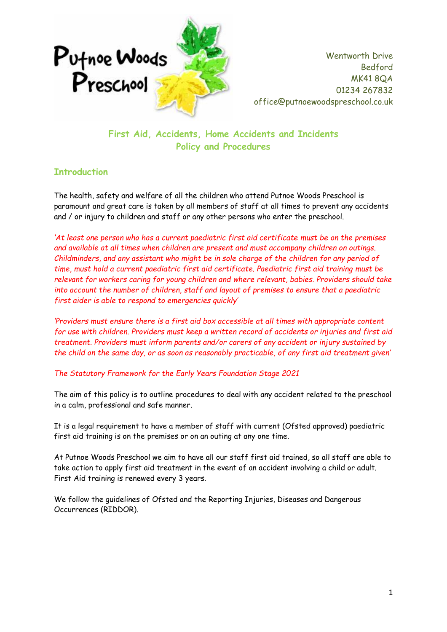

**First Aid, Accidents, Home Accidents and Incidents Policy and Procedures**

## **Introduction**

The health, safety and welfare of all the children who attend Putnoe Woods Preschool is paramount and great care is taken by all members of staff at all times to prevent any accidents and / or injury to children and staff or any other persons who enter the preschool.

*'At least one person who has a current paediatric first aid certificate must be on the premises and available at all times when children are present and must accompany children on outings. Childminders, and any assistant who might be in sole charge of the children for any period of time, must hold a current paediatric first aid certificate. Paediatric first aid training must be relevant for workers caring for young children and where relevant, babies. Providers should take into account the number of children, staff and layout of premises to ensure that a paediatric first aider is able to respond to emergencies quickly'*

*'Providers must ensure there is a first aid box accessible at all times with appropriate content for use with children. Providers must keep a written record of accidents or injuries and first aid treatment. Providers must inform parents and/or carers of any accident or injury sustained by the child on the same day, or as soon as reasonably practicable, of any first aid treatment given'*

#### *The Statutory Framework for the Early Years Foundation Stage 2021*

The aim of this policy is to outline procedures to deal with any accident related to the preschool in a calm, professional and safe manner.

It is a legal requirement to have a member of staff with current (Ofsted approved) paediatric first aid training is on the premises or on an outing at any one time.

At Putnoe Woods Preschool we aim to have all our staff first aid trained, so all staff are able to take action to apply first aid treatment in the event of an accident involving a child or adult. First Aid training is renewed every 3 years.

We follow the guidelines of Ofsted and the Reporting Injuries, Diseases and Dangerous Occurrences (RIDDOR).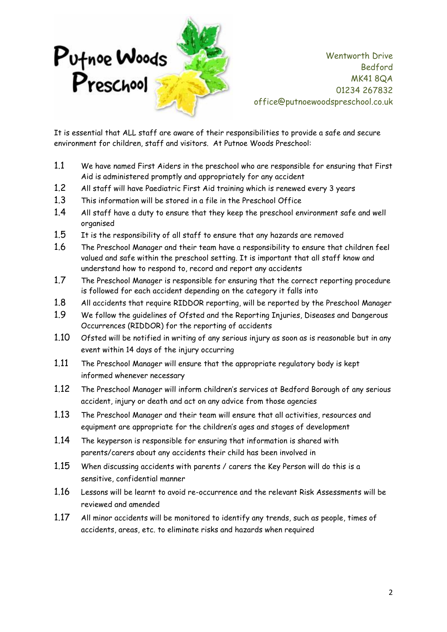

It is essential that ALL staff are aware of their responsibilities to provide a safe and secure environment for children, staff and visitors. At Putnoe Woods Preschool:

- 1.1 We have named First Aiders in the preschool who are responsible for ensuring that First Aid is administered promptly and appropriately for any accident
- 1.2 All staff will have Paediatric First Aid training which is renewed every 3 years
- 1.3 This information will be stored in a file in the Preschool Office
- 1.4 All staff have a duty to ensure that they keep the preschool environment safe and well organised
- 1.5 It is the responsibility of all staff to ensure that any hazards are removed
- 1.6 The Preschool Manager and their team have a responsibility to ensure that children feel valued and safe within the preschool setting. It is important that all staff know and understand how to respond to, record and report any accidents
- 1.7 The Preschool Manager is responsible for ensuring that the correct reporting procedure is followed for each accident depending on the category it falls into
- 1.8 All accidents that require RIDDOR reporting, will be reported by the Preschool Manager
- 1.9 We follow the guidelines of Ofsted and the Reporting Injuries, Diseases and Dangerous Occurrences (RIDDOR) for the reporting of accidents
- 1.10 Ofsted will be notified in writing of any serious injury as soon as is reasonable but in any event within 14 days of the injury occurring
- 1.11 The Preschool Manager will ensure that the appropriate regulatory body is kept informed whenever necessary
- 1.12 The Preschool Manager will inform children's services at Bedford Borough of any serious accident, injury or death and act on any advice from those agencies
- 1.13 The Preschool Manager and their team will ensure that all activities, resources and equipment are appropriate for the children's ages and stages of development
- 1.14 The keyperson is responsible for ensuring that information is shared with parents/carers about any accidents their child has been involved in
- 1.15 When discussing accidents with parents / carers the Key Person will do this is a sensitive, confidential manner
- 1.16 Lessons will be learnt to avoid re-occurrence and the relevant Risk Assessments will be reviewed and amended
- 1.17 All minor accidents will be monitored to identify any trends, such as people, times of accidents, areas, etc. to eliminate risks and hazards when required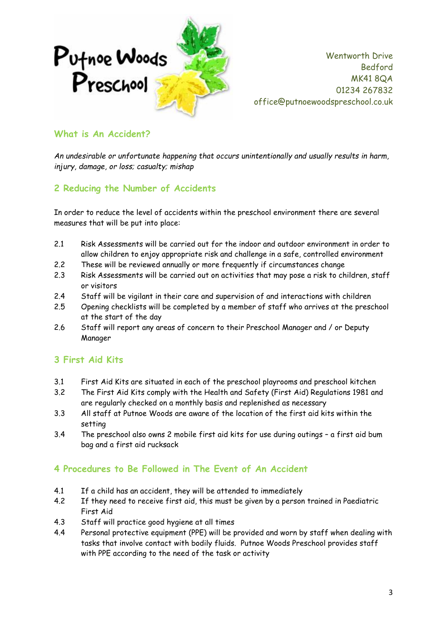

### **What is An Accident?**

*An undesirable or unfortunate happening that occurs unintentionally and usually results in harm, injury, damage, or loss; casualty; mishap*

## **2 Reducing the Number of Accidents**

In order to reduce the level of accidents within the preschool environment there are several measures that will be put into place:

- 2.1 Risk Assessments will be carried out for the indoor and outdoor environment in order to allow children to enjoy appropriate risk and challenge in a safe, controlled environment
- 2.2 These will be reviewed annually or more frequently if circumstances change
- 2.3 Risk Assessments will be carried out on activities that may pose a risk to children, staff or visitors
- 2.4 Staff will be vigilant in their care and supervision of and interactions with children
- 2.5 Opening checklists will be completed by a member of staff who arrives at the preschool at the start of the day
- 2.6 Staff will report any areas of concern to their Preschool Manager and / or Deputy Manager

## **3 First Aid Kits**

- 3.1 First Aid Kits are situated in each of the preschool playrooms and preschool kitchen
- 3.2 The First Aid Kits comply with the Health and Safety (First Aid) Regulations 1981 and are regularly checked on a monthly basis and replenished as necessary
- 3.3 All staff at Putnoe Woods are aware of the location of the first aid kits within the setting
- 3.4 The preschool also owns 2 mobile first aid kits for use during outings a first aid bum bag and a first aid rucksack

#### **4 Procedures to Be Followed in The Event of An Accident**

- 4.1 If a child has an accident, they will be attended to immediately
- 4.2 If they need to receive first aid, this must be given by a person trained in Paediatric First Aid
- 4.3 Staff will practice good hygiene at all times
- 4.4 Personal protective equipment (PPE) will be provided and worn by staff when dealing with tasks that involve contact with bodily fluids. Putnoe Woods Preschool provides staff with PPE according to the need of the task or activity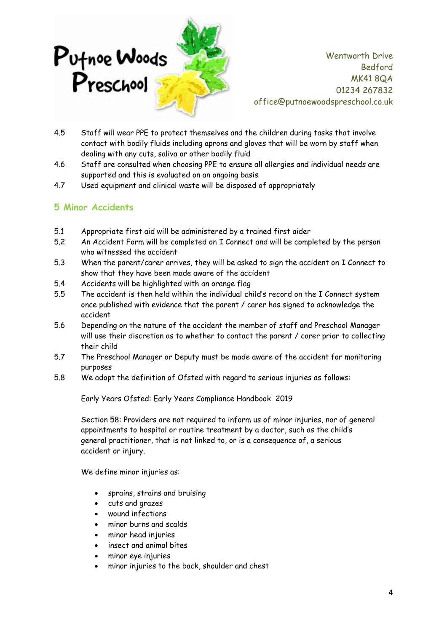

- 4.5 Staff will wear PPE to protect themselves and the children during tasks that involve contact with bodily fluids including aprons and gloves that will be worn by staff when dealing with any cuts, saliva or other bodily fluid
- 4.6 Staff are consulted when choosing PPE to ensure all allergies and individual needs are supported and this is evaluated on an ongoing basis
- 4.7 Used equipment and clinical waste will be disposed of appropriately

## **5 Minor Accidents**

- 5.1 Appropriate first aid will be administered by a trained first aider
- 5.2 An Accident Form will be completed on I Connect and will be completed by the person who witnessed the accident
- 5.3 When the parent/carer arrives, they will be asked to sign the accident on I Connect to show that they have been made aware of the accident
- 5.4 Accidents will be highlighted with an orange flag
- 5.5 The accident is then held within the individual child's record on the I Connect system once published with evidence that the parent / carer has signed to acknowledge the accident
- 5.6 Depending on the nature of the accident the member of staff and Preschool Manager will use their discretion as to whether to contact the parent / carer prior to collecting their child
- 5.7 The Preschool Manager or Deputy must be made aware of the accident for monitoring purposes
- 5.8 We adopt the definition of Ofsted with regard to serious injuries as follows:

Early Years Ofsted: Early Years Compliance Handbook 2019

Section 58: Providers are not required to inform us of minor injuries, nor of general appointments to hospital or routine treatment by a doctor, such as the child's general practitioner, that is not linked to, or is a consequence of, a serious accident or injury.

We define minor injuries as:

- sprains, strains and bruising
- cuts and grazes
- wound infections
- minor burns and scalds
- minor head injuries
- insect and animal bites
- minor eye injuries
- minor injuries to the back, shoulder and chest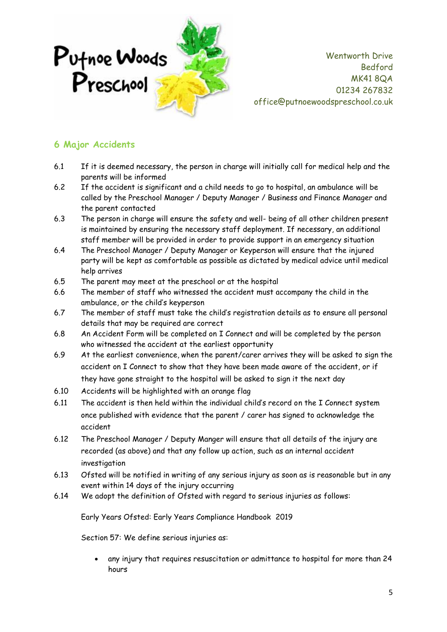

# **6 Major Accidents**

- 6.1 If it is deemed necessary, the person in charge will initially call for medical help and the parents will be informed
- 6.2 If the accident is significant and a child needs to go to hospital, an ambulance will be called by the Preschool Manager / Deputy Manager / Business and Finance Manager and the parent contacted
- 6.3 The person in charge will ensure the safety and well- being of all other children present is maintained by ensuring the necessary staff deployment. If necessary, an additional staff member will be provided in order to provide support in an emergency situation
- 6.4 The Preschool Manager / Deputy Manager or Keyperson will ensure that the injured party will be kept as comfortable as possible as dictated by medical advice until medical help arrives
- 6.5 The parent may meet at the preschool or at the hospital
- 6.6 The member of staff who witnessed the accident must accompany the child in the ambulance, or the child's keyperson
- 6.7 The member of staff must take the child's registration details as to ensure all personal details that may be required are correct
- 6.8 An Accident Form will be completed on I Connect and will be completed by the person who witnessed the accident at the earliest opportunity
- 6.9 At the earliest convenience, when the parent/carer arrives they will be asked to sign the accident on I Connect to show that they have been made aware of the accident, or if they have gone straight to the hospital will be asked to sign it the next day
- 6.10 Accidents will be highlighted with an orange flag
- 6.11 The accident is then held within the individual child's record on the I Connect system once published with evidence that the parent / carer has signed to acknowledge the accident
- 6.12 The Preschool Manager / Deputy Manger will ensure that all details of the injury are recorded (as above) and that any follow up action, such as an internal accident investigation
- 6.13 Ofsted will be notified in writing of any serious injury as soon as is reasonable but in any event within 14 days of the injury occurring
- 6.14 We adopt the definition of Ofsted with regard to serious injuries as follows:

Early Years Ofsted: Early Years Compliance Handbook 2019

Section 57: We define serious injuries as:

• any injury that requires resuscitation or admittance to hospital for more than 24 hours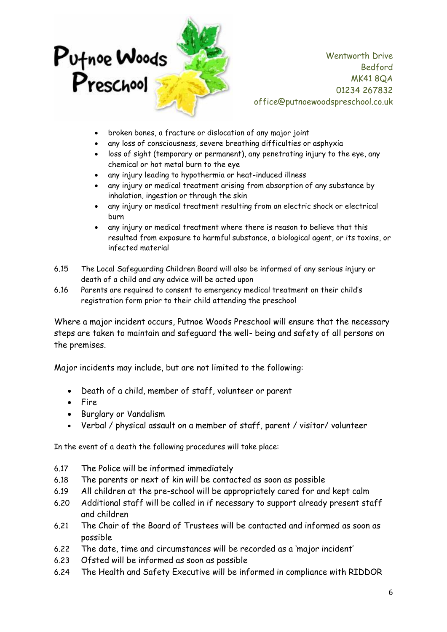

- broken bones, a fracture or dislocation of any major joint
- any loss of consciousness, severe breathing difficulties or asphyxia
- loss of sight (temporary or permanent), any penetrating injury to the eye, any chemical or hot metal burn to the eye
- any injury leading to hypothermia or heat-induced illness
- any injury or medical treatment arising from absorption of any substance by inhalation, ingestion or through the skin
- any injury or medical treatment resulting from an electric shock or electrical burn
- any injury or medical treatment where there is reason to believe that this resulted from exposure to harmful substance, a biological agent, or its toxins, or infected material
- 6.15 The Local Safeguarding Children Board will also be informed of any serious injury or death of a child and any advice will be acted upon
- 6.16 Parents are required to consent to emergency medical treatment on their child's registration form prior to their child attending the preschool

Where a major incident occurs, Putnoe Woods Preschool will ensure that the necessary steps are taken to maintain and safeguard the well- being and safety of all persons on the premises.

Major incidents may include, but are not limited to the following:

- Death of a child, member of staff, volunteer or parent
- Fire
- Burglary or Vandalism
- Verbal / physical assault on a member of staff, parent / visitor/ volunteer

In the event of a death the following procedures will take place:

- 6.17 The Police will be informed immediately
- 6.18 The parents or next of kin will be contacted as soon as possible
- 6.19 All children at the pre-school will be appropriately cared for and kept calm
- 6.20 Additional staff will be called in if necessary to support already present staff and children
- 6.21 The Chair of the Board of Trustees will be contacted and informed as soon as possible
- 6.22 The date, time and circumstances will be recorded as a 'major incident'
- 6.23 Ofsted will be informed as soon as possible
- 6.24 The Health and Safety Executive will be informed in compliance with RIDDOR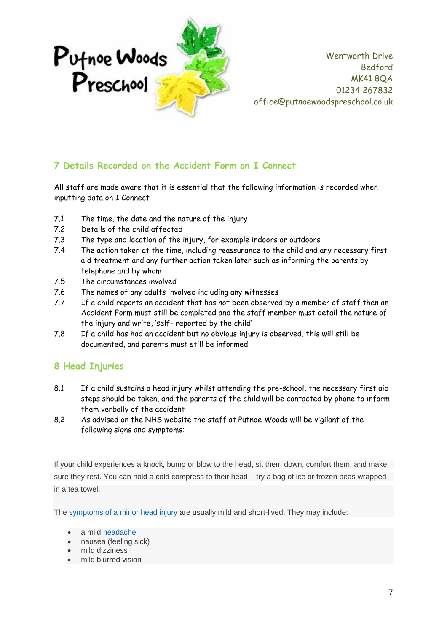

## **7 Details Recorded on the Accident Form on I Connect**

All staff are made aware that it is essential that the following information is recorded when inputting data on I Connect

- 7.1 The time, the date and the nature of the injury
- 7.2 Details of the child affected
- 7.3 The type and location of the injury, for example indoors or outdoors
- 7.4 The action taken at the time, including reassurance to the child and any necessary first aid treatment and any further action taken later such as informing the parents by telephone and by whom
- 7.5 The circumstances involved
- 7.6 The names of any adults involved including any witnesses
- 7.7 If a child reports an accident that has not been observed by a member of staff then an Accident Form must still be completed and the staff member must detail the nature of the injury and write, 'self- reported by the child'
- 7.8 If a child has had an accident but no obvious injury is observed, this will still be documented, and parents must still be informed

## **8 Head Injuries**

- 8.1 If a child sustains a head injury whilst attending the pre-school, the necessary first aid steps should be taken, and the parents of the child will be contacted by phone to inform them verbally of the accident
- 8.2 As advised on the NHS website the staff at Putnoe Woods will be vigilant of the following signs and symptoms:

If your child experiences a knock, bump or blow to the head, sit them down, comfort them, and make sure they rest. You can hold a cold compress to their head – try a bag of ice or frozen peas wrapped in a tea towel.

The [symptoms of a minor head injury](http://www.nhs.uk/Conditions/Head-injury-minor/Pages/Symptoms.aspx) are usually mild and short-lived. They may include:

- a mild [headache](http://www.nhs.uk/conditions/Headache/Pages/Introduction.aspx)
- nausea (feeling sick)
- mild dizziness
- mild blurred vision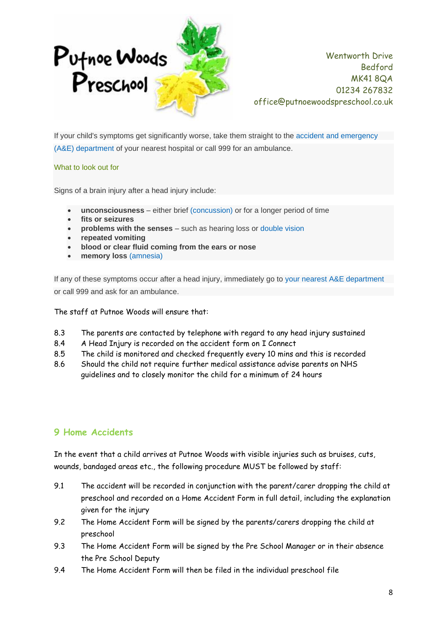

If your child's symptoms get significantly worse, take them straight to the [accident and emergency](http://www.nhs.uk/Service-Search/Accident-and-emergency-services/LocationSearch/428)  [\(A&E\) department](http://www.nhs.uk/Service-Search/Accident-and-emergency-services/LocationSearch/428) of your nearest hospital or call 999 for an ambulance.

#### What to look out for

Signs of a brain injury after a head injury include:

- **unconsciousness** either brief [\(concussion\)](http://www.nhs.uk/conditions/concussion/pages/introduction.aspx) or for a longer period of time
- **fits or seizures**
- **problems with the senses** such as hearing loss or [double vision](http://www.nhs.uk/conditions/Double-vision/Pages/Introduction.aspx)
- **repeated vomiting**
- **blood or clear fluid coming from the ears or nose**
- **memory loss** [\(amnesia\)](http://www.nhs.uk/conditions/memory-loss/Pages/Introduction.aspx)

If any of these symptoms occur after a head injury, immediately go to [your nearest A&E department](http://www.nhs.uk/Service-Search/Accident-and-emergency-services/LocationSearch/428) or call 999 and ask for an ambulance.

The staff at Putnoe Woods will ensure that:

- 8.3 The parents are contacted by telephone with regard to any head injury sustained
- 8.4 A Head Injury is recorded on the accident form on I Connect
- 8.5 The child is monitored and checked frequently every 10 mins and this is recorded
- 8.6 Should the child not require further medical assistance advise parents on NHS guidelines and to closely monitor the child for a minimum of 24 hours

#### **9 Home Accidents**

In the event that a child arrives at Putnoe Woods with visible injuries such as bruises, cuts, wounds, bandaged areas etc., the following procedure MUST be followed by staff:

- 9.1 The accident will be recorded in conjunction with the parent/carer dropping the child at preschool and recorded on a Home Accident Form in full detail, including the explanation given for the injury
- 9.2 The Home Accident Form will be signed by the parents/carers dropping the child at preschool
- 9.3 The Home Accident Form will be signed by the Pre School Manager or in their absence the Pre School Deputy
- 9.4 The Home Accident Form will then be filed in the individual preschool file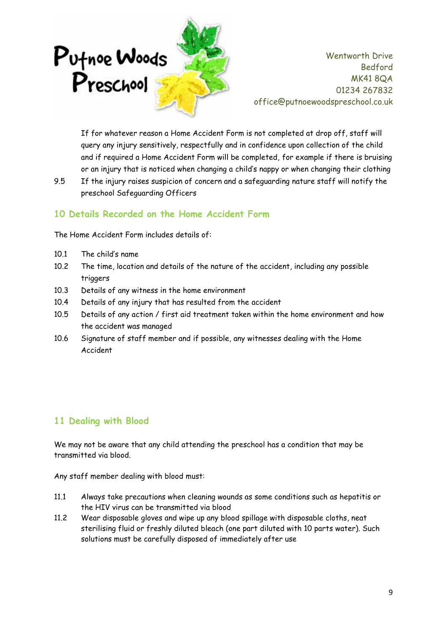

If for whatever reason a Home Accident Form is not completed at drop off, staff will query any injury sensitively, respectfully and in confidence upon collection of the child and if required a Home Accident Form will be completed, for example if there is bruising or an injury that is noticed when changing a child's nappy or when changing their clothing

9.5 If the injury raises suspicion of concern and a safeguarding nature staff will notify the preschool Safeguarding Officers

## **10 Details Recorded on the Home Accident Form**

The Home Accident Form includes details of:

- 10.1 The child's name
- 10.2 The time, location and details of the nature of the accident, including any possible triggers
- 10.3 Details of any witness in the home environment
- 10.4 Details of any injury that has resulted from the accident
- 10.5 Details of any action / first aid treatment taken within the home environment and how the accident was managed
- 10.6 Signature of staff member and if possible, any witnesses dealing with the Home Accident

## **11 Dealing with Blood**

We may not be aware that any child attending the preschool has a condition that may be transmitted via blood.

Any staff member dealing with blood must:

- 11.1 Always take precautions when cleaning wounds as some conditions such as hepatitis or the HIV virus can be transmitted via blood
- 11.2 Wear disposable gloves and wipe up any blood spillage with disposable cloths, neat sterilising fluid or freshly diluted bleach (one part diluted with 10 parts water). Such solutions must be carefully disposed of immediately after use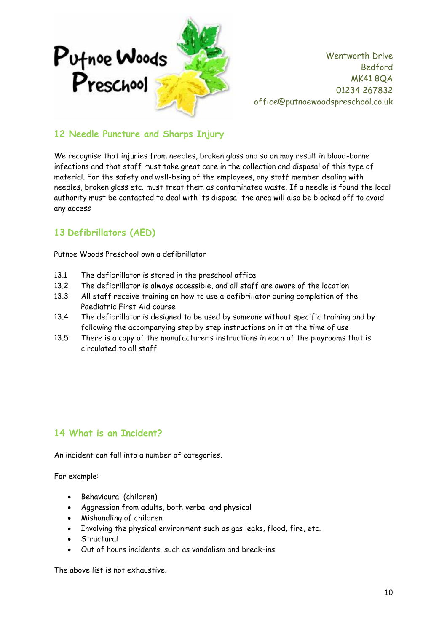

## **12 Needle Puncture and Sharps Injury**

We recognise that injuries from needles, broken glass and so on may result in blood-borne infections and that staff must take great care in the collection and disposal of this type of material. For the safety and well-being of the employees, any staff member dealing with needles, broken glass etc. must treat them as contaminated waste. If a needle is found the local authority must be contacted to deal with its disposal the area will also be blocked off to avoid any access

# **13 Defibrillators (AED)**

Putnoe Woods Preschool own a defibrillator

- 13.1 The defibrillator is stored in the preschool office
- 13.2 The defibrillator is always accessible, and all staff are aware of the location
- 13.3 All staff receive training on how to use a defibrillator during completion of the Paediatric First Aid course
- 13.4 The defibrillator is designed to be used by someone without specific training and by following the accompanying step by step instructions on it at the time of use
- 13.5 There is a copy of the manufacturer's instructions in each of the playrooms that is circulated to all staff

#### **14 What is an Incident?**

An incident can fall into a number of categories.

For example:

- Behavioural (children)
- Aggression from adults, both verbal and physical
- Mishandling of children
- Involving the physical environment such as gas leaks, flood, fire, etc.
- **Structural**
- Out of hours incidents, such as vandalism and break-ins

The above list is not exhaustive.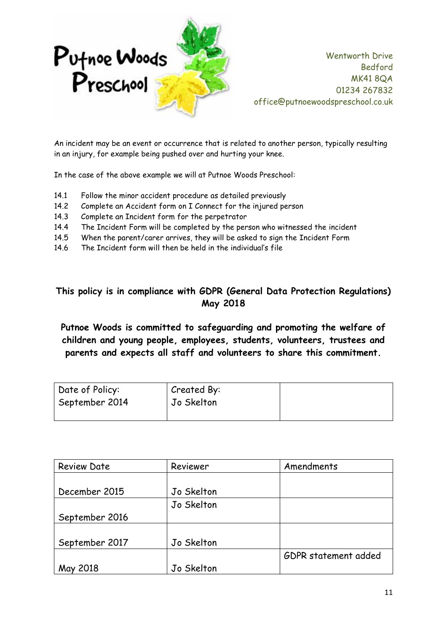

An incident may be an event or occurrence that is related to another person, typically resulting in an injury, for example being pushed over and hurting your knee.

In the case of the above example we will at Putnoe Woods Preschool:

- 14.1 Follow the minor accident procedure as detailed previously
- 14.2 Complete an Accident form on I Connect for the injured person
- 14.3 Complete an Incident form for the perpetrator
- 14.4 The Incident Form will be completed by the person who witnessed the incident
- 14.5 When the parent/carer arrives, they will be asked to sign the Incident Form
- 14.6 The Incident form will then be held in the individual's file

# **This policy is in compliance with GDPR (General Data Protection Regulations) May 2018**

**Putnoe Woods is committed to safeguarding and promoting the welfare of children and young people, employees, students, volunteers, trustees and parents and expects all staff and volunteers to share this commitment.**

| Date of Policy:<br>September 2014 | Created By:<br>Jo Skelton |  |
|-----------------------------------|---------------------------|--|
|                                   |                           |  |

| <b>Review Date</b> | Reviewer   | Amendments           |  |
|--------------------|------------|----------------------|--|
|                    |            |                      |  |
| December 2015      | Jo Skelton |                      |  |
|                    | Jo Skelton |                      |  |
| September 2016     |            |                      |  |
|                    |            |                      |  |
| September 2017     | Jo Skelton |                      |  |
|                    |            | GDPR statement added |  |
| 2018               | Jo Skelton |                      |  |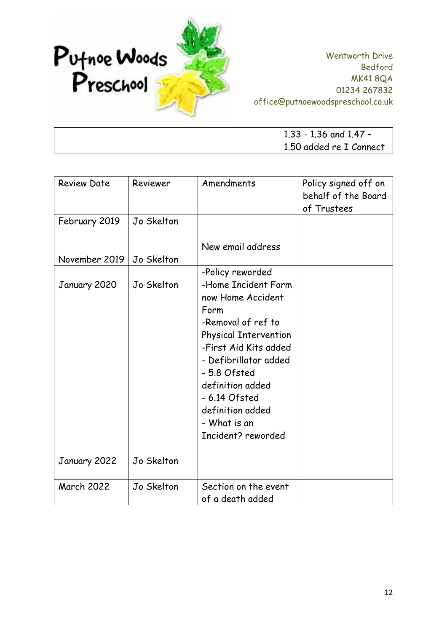

| $1.33 - 1.36$ and 1.47 - |
|--------------------------|
| 1.50 added re I Connect  |

| <b>Review Date</b> | Reviewer   | Amendments                                                                                                                                                                                                                                                                                  | Policy signed off on<br>behalf of the Board<br>of Trustees |
|--------------------|------------|---------------------------------------------------------------------------------------------------------------------------------------------------------------------------------------------------------------------------------------------------------------------------------------------|------------------------------------------------------------|
| February 2019      | Jo Skelton |                                                                                                                                                                                                                                                                                             |                                                            |
| November 2019      | Jo Skelton | New email address                                                                                                                                                                                                                                                                           |                                                            |
| January 2020       | Jo Skelton | -Policy reworded<br>-Home Incident Form<br>now Home Accident<br>Form<br>-Removal of ref to<br><b>Physical Intervention</b><br>-First Aid Kits added<br>- Defibrillator added<br>- 5.8 Ofsted<br>definition added<br>- 6.14 Ofsted<br>definition added<br>- What is an<br>Incident? reworded |                                                            |
| January 2022       | Jo Skelton |                                                                                                                                                                                                                                                                                             |                                                            |
| <b>March 2022</b>  | Jo Skelton | Section on the event<br>of a death added                                                                                                                                                                                                                                                    |                                                            |